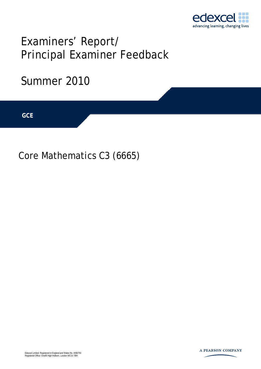

# Examiners' Report/ Principal Examiner Feedback

## Summer 2010

**IGCSE GCE** 

Core Mathematics C3 (6665)

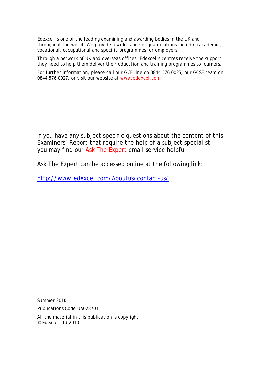Edexcel is one of the leading examining and awarding bodies in the UK and throughout the world. We provide a wide range of qualifications including academic, vocational, occupational and specific programmes for employers.

Through a network of UK and overseas offices, Edexcel's centres receive the support they need to help them deliver their education and training programmes to learners.

For further information, please call our GCE line on 0844 576 0025, our GCSE team on 0844 576 0027, or visit our website at www.edexcel.com.

If you have any subject specific questions about the content of this Examiners' Report that require the help of a subject specialist, you may find our Ask The Expert email service helpful.

Ask The Expert can be accessed online at the following link:

http://www.edexcel.com/Aboutus/contact-us/

Summer 2010

Publications Code UA023701

All the material in this publication is copyright © Edexcel Ltd 2010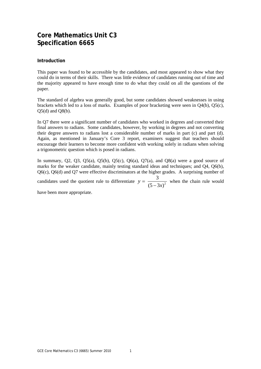### **Core Mathematics Unit C3 Specification 6665**

#### **Introduction**

This paper was found to be accessible by the candidates, and most appeared to show what they could do in terms of their skills. There was little evidence of candidates running out of time and the majority appeared to have enough time to do what they could on all the questions of the paper.

The standard of algebra was generally good, but some candidates showed weaknesses in using brackets which led to a loss of marks. Examples of poor bracketing were seen in Q4(b), Q5(c),  $O5(d)$  and  $O8(b)$ .

In Q7 there were a significant number of candidates who worked in degrees and converted their final answers to radians. Some candidates, however, by working in degrees and not converting their degree answers to radians lost a considerable number of marks in part (c) and part (d). Again, as mentioned in January's Core 3 report, examiners suggest that teachers should encourage their learners to become more confident with working solely in radians when solving a trigonometric question which is posed in radians.

In summary,  $Q_2$ ,  $Q_3$ ,  $Q_5$ (a),  $Q_5$ (b),  $Q_5$ (c),  $Q_6$ (a),  $Q_7$ (a), and  $Q_8$ (a) were a good source of marks for the weaker candidate, mainly testing standard ideas and techniques; and Q4, Q6(b), Q6(c), Q6(d) and Q7 were effective discriminators at the higher grades. A surprising number of

candidates used the quotient rule to differentiate  $y = \frac{3}{\sqrt{5}-2x^2}$  $y = \frac{3}{(5-3x)^2}$  when the chain rule would

have been more appropriate.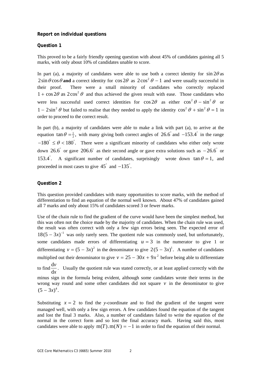#### **Report on individual questions**

#### **Question 1**

This proved to be a fairly friendly opening question with about 45% of candidates gaining all 5 marks, with only about 10% of candidates unable to score.

In part (a), a majority of candidates were able to use both a correct identity for  $\sin 2\theta$  as  $2\sin\theta\cos\theta$  and a correct identity for  $\cos 2\theta$  as  $2\cos^2\theta - 1$  and were usually successful in their proof. There were a small minority of candidates who correctly replaced  $1 + \cos 2\theta$  as  $2\cos^2 \theta$  and thus achieved the given result with ease. Those candidates who were less successful used correct identities for  $\cos 2\theta$  as either  $\cos^2 \theta - \sin^2 \theta$  or  $1 - 2\sin^2 \theta$  but failed to realise that they needed to apply the identity  $\cos^2 \theta + \sin^2 \theta = 1$  in order to proceed to the correct result.

In part (b), a majority of candidates were able to make a link with part (a), to arrive at the equation  $\tan \theta = \frac{1}{2}$ , with many giving both correct angles of 26.6° and -153.4° in the range  $-180^\circ \le \theta < 180^\circ$ . There were a significant minority of candidates who either only wrote down 26.6° or gave 206.6° as their second angle or gave extra solutions such as  $-26.6$ ° or 153.4°. A significant number of candidates, surprisingly wrote down tan  $\theta = 1$ , and proceeded in most cases to give  $45^{\degree}$  and  $-135^{\degree}$ .

#### **Question 2**

This question provided candidates with many opportunities to score marks, with the method of differentiation to find an equation of the normal well known. About 47% of candidates gained all 7 marks and only about 15% of candidates scored 3 or fewer marks.

Use of the chain rule to find the gradient of the curve would have been the simplest method, but this was often not the choice made by the majority of candidates. When the chain rule was used, the result was often correct with only a few sign errors being seen. The expected error of  $18(5 - 3x)^{-1}$  was only rarely seen. The quotient rule was commonly used, but unfortunately, some candidates made errors of differentiating  $u = 3$  in the numerator to give 1 or differentiating  $v = (5 - 3x)^2$  in the denominator to give  $2(5 - 3x)^1$ . A number of candidates multiplied out their denominator to give  $v = 25 - 30x + 9x^2$  before being able to differentiate to find  $\frac{d}{dx}$ d *v x* . Usually the quotient rule was stated correctly, or at least applied correctly with the minus sign in the formula being evident, although some candidates wrote their terms in the wrong way round and some other candidates did not square  $\nu$  in the denominator to give  $(5 - 3x)^4$ .

Substituting  $x = 2$  to find the *y*-coordinate and to find the gradient of the tangent were managed well, with only a few sign errors. A few candidates found the equation of the tangent and lost the final 3 marks. Also, a number of candidates failed to write the equation of the normal in the correct form and so lost the final accuracy mark. Having said this, most candidates were able to apply  $m(T)$ . $m(N) = -1$  in order to find the equation of their normal.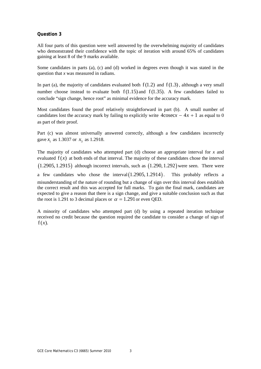All four parts of this question were well answered by the overwhelming majority of candidates who demonstrated their confidence with the topic of iteration with around 65% of candidates gaining at least 8 of the 9 marks available.

Some candidates in parts (a), (c) and (d) worked in degrees even though it was stated in the question that *x* was measured in radians.

In part (a), the majority of candidates evaluated both  $f(1.2)$  and  $f(1.3)$ , although a very small number choose instead to evaluate both  $f(1.15)$  and  $f(1.35)$ . A few candidates failed to conclude "sign change, hence root" as minimal evidence for the accuracy mark.

Most candidates found the proof relatively straightforward in part (b). A small number of candidates lost the accuracy mark by failing to explicitly write  $4\cos(\alpha x) - 4x + 1$  as equal to 0 as part of their proof.

Part (c) was almost universally answered correctly, although a few candidates incorrectly gave  $x_1$  as 1.3037 or  $x_3$  as 1.2918.

The majority of candidates who attempted part (d) choose an appropriate interval for *x* and evaluated  $f(x)$  at both ends of that interval. The majority of these candidates chose the interval  $(1.2905, 1.2915)$  although incorrect intervals, such as  $(1.290, 1.292)$  were seen. There were a few candidates who chose the interval  $(1.2905, 1.2914)$ . This probably reflects a misunderstanding of the nature of rounding but a change of sign over this interval does establish the correct result and this was accepted for full marks. To gain the final mark, candidates are expected to give a reason that there is a sign change, and give a suitable conclusion such as that the root is 1.291 to 3 decimal places or  $\alpha = 1.291$  or even QED.

A minority of candidates who attempted part (d) by using a repeated iteration technique received no credit because the question required the candidate to consider a change of sign of  $f(x)$ .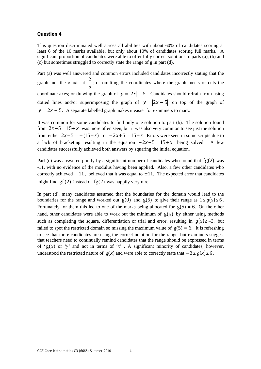This question discriminated well across all abilities with about 60% of candidates scoring at least 6 of the 10 marks available, but only about 10% of candidates scoring full marks. A significant proportion of candidates were able to offer fully correct solutions to parts (a), (b) and (c) but sometimes struggled to correctly state the range of g in part (d).

Part (a) was well answered and common errors included candidates incorrectly stating that the graph met the *x*-axis at  $\frac{2}{5}$ 5 ; or omitting the coordinates where the graph meets or cuts the coordinate axes; or drawing the graph of  $y = |2x| - 5$ . Candidates should refrain from using dotted lines and/or superimposing the graph of  $y = |2x - 5|$  on top of the graph of  $y = 2x - 5$ . A separate labelled graph makes it easier for examiners to mark.

It was common for some candidates to find only one solution to part (b). The solution found from  $2x-5 = 15 + x$  was more often seen, but it was also very common to see just the solution from either  $2x-5 = -(15+x)$  or  $-2x+5 = 15+x$ . Errors were seen in some scripts due to a lack of bracketing resulting in the equation  $-2x-5 = 15+x$  being solved. A few candidates successfully achieved both answers by squaring the initial equation.

Part (c) was answered poorly by a significant number of candidates who found that  $fg(2)$  was -11, with no evidence of the modulus having been applied. Also, a few other candidates who correctly achieved  $|-11|$ , believed that it was equal to  $\pm 11$ . The expected error that candidates might find  $gf(2)$  instead of  $fg(2)$  was happily very rare.

In part (d), many candidates assumed that the boundaries for the domain would lead to the boundaries for the range and worked out  $g(0)$  and  $g(5)$  to give their range as  $1 \le g(x) \le 6$ . Fortunately for them this led to one of the marks being allocated for  $g(5) = 6$ . On the other hand, other candidates were able to work out the minimum of  $g(x)$  by either using methods such as completing the square, differentiation or trial and error, resulting in  $g(x) \ge -3$ , but failed to spot the restricted domain so missing the maximum value of  $g(5) = 6$ . It is refreshing to see that more candidates are using the correct notation for the range, but examiners suggest that teachers need to continually remind candidates that the range should be expressed in terms of ' $g(x)$ 'or 'y' and not in terms of 'x'. A significant minority of candidates, however, understood the restricted nature of  $g(x)$  and were able to correctly state that  $-3 \le g(x) \le 6$ .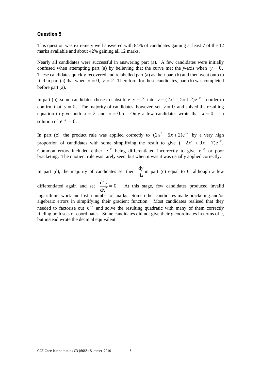This question was extremely well answered with 84% of candidates gaining at least 7 of the 12 marks available and about 42% gaining all 12 marks.

Nearly all candidates were successful in answering part (a). A few candidates were initially confused when attempting part (a) by believing that the curve met the *y*-axis when  $y = 0$ . These candidates quickly recovered and relabelled part (a) as their part (b) and then went onto to find in part (a) that when  $x = 0$ ,  $y = 2$ . Therefore, for these candidates, part (b) was completed before part (a).

In part (b), some candidates chose to substitute  $x = 2$  into  $y = (2x^2 - 5x + 2)e^{-x}$  in order to confirm that  $y = 0$ . The majority of candidates, however, set  $y = 0$  and solved the resulting equation to give both  $x = 2$  and  $x = 0.5$ . Only a few candidates wrote that  $x = 0$  is a solution of  $e^{-x} = 0$ .

In part (c), the product rule was applied correctly to  $(2x^2 - 5x + 2)e^{-x}$  by a very high proportion of candidates with some simplifying the result to give  $(-2x^2 + 9x - 7)e^{-x}$ . Common errors included either  $e^{-x}$  being differentiated incorrectly to give  $e^{-x}$  or poor bracketing. The quotient rule was rarely seen, but when it was it was usually applied correctly.

In part (d), the majority of candidates set their  $\frac{d}{dx}$ d *y x* in part (c) equal to 0, although a few

differentiated again and set 2  $\frac{d^2y}{dx^2} = 0.$ d  $\frac{y}{x^2}$  = 0. At this stage, few candidates produced invalid logarithmic work and lost a number of marks. Some other candidates made bracketing and/or algebraic errors in simplifying their gradient function. Most candidates realised that they needed to factorise out  $e^{-x}$  and solve the resulting quadratic with many of them correctly finding both sets of coordinates. Some candidates did not give their *y*-coordinates in terms of e, but instead wrote the decimal equivalent.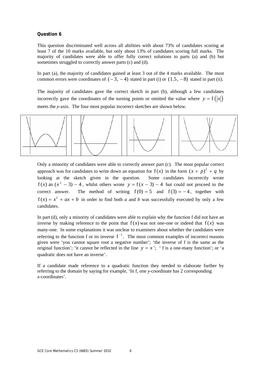This question discriminated well across all abilities with about 73% of candidates scoring at least 7 of the 10 marks available, but only about 13% of candidates scoring full marks. The majority of candidates were able to offer fully correct solutions to parts (a) and (b) but sometimes struggled to correctly answer parts (c) and (d).

In part (a), the majority of candidates gained at least 3 out of the 4 marks available. The most common errors were coordinates of  $(-3, -4)$  stated in part (i) or  $(1.5, -8)$  stated in part (ii).

The majority of candidates gave the correct sketch in part (b), although a few candidates incorrectly gave the coordinates of the turning points or omitted the value where  $y = f(|x|)$ meets the *y*-axis. The four most popular incorrect sketches are shown below.



Only a minority of candidates were able to correctly answer part (c). The most popular correct approach was for candidates to write down an equation for  $f(x)$  in the form  $(x + p)^2 + q$  by looking at the sketch given in the question. Some candidates incorrectly wrote  $f(x)$  as  $(x^2 - 3) - 4$ , whilst others wrote  $y = f(x - 3) - 4$  but could not proceed to the correct answer. The method of writing  $f(0) = 5$  and  $f(3) = -4$ , together with  $f(x) = x^2 + ax + b$  in order to find both *a* and *b* was successfully executed by only a few candidates.

In part (d), only a minority of candidates were able to explain why the function f did not have an inverse by making reference to the point that  $f(x)$  was not one-one or indeed that  $f(x)$  was many-one. In some explanations it was unclear to examiners about whether the candidates were referring to the function f or its inverse  $f^{-1}$ . The most common examples of incorrect reasons given were 'you cannot square root a negative number'; 'the inverse of f is the same as the original function'; 'it cannot be reflected in the line  $y = x'$ ; ' f is a one-many function'; or 'a quadratic does not have an inverse'.

If a candidate made reference to a quadratic function they needed to elaborate further by referring to the domain by saying for example, 'In f, one *y*-coordinate has 2 corresponding *x*-coordinates'.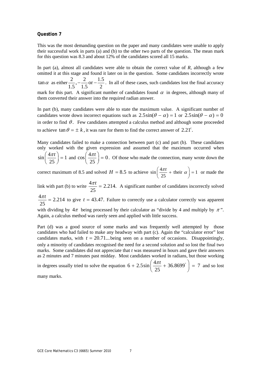This was the most demanding question on the paper and many candidates were unable to apply their successful work in parts (a) and (b) to the other two parts of the question. The mean mark for this question was 8.3 and about 12% of the candidates scored all 15 marks.

In part (a), almost all candidates were able to obtain the correct value of *R*, although a few omitted it at this stage and found it later on in the question. Some candidates incorrectly wrote  $\tan \alpha$  as either  $\frac{2}{1.5}$ ,  $\frac{2}{1.5}$  or  $\frac{1.5}{2}$ . In all of these cases, such candidates lost the final accuracy mark for this part. A significant number of candidates found  $\alpha$  in degrees, although many of them converted their answer into the required radian answer.

In part (b), many candidates were able to state the maximum value. A significant number of candidates wrote down incorrect equations such as  $2.5\sin(\theta - \alpha) = 1$  or  $2.5\sin(\theta - \alpha) = 0$ in order to find  $\theta$ . Few candidates attempted a calculus method and although some proceeded to achieve  $\tan \theta = \pm k$ , it was rare for them to find the correct answer of 2.21<sup>c</sup>.

Many candidates failed to make a connection between part (c) and part (b). These candidates only worked with the given expression and assumed that the maximum occurred when  $\sin\left(\frac{4\pi t}{25}\right) = 1$  $\left(\frac{4\pi t}{25}\right) = 1$  and  $\cos\left(\frac{4\pi t}{25}\right) = 0$  $\left(\frac{4\pi t}{25}\right) = 0$ . Of those who made the connection, many wrote down the

correct maximum of 8.5 and solved  $H = 8.5$  to achieve  $\sin \left( \frac{4\pi t}{\sigma^2} + \text{their } \alpha \right) = 1$ 25  $\frac{\pi t}{\pi}$  + their  $\alpha$  $\left(\frac{4\pi t}{25} + \text{their } \alpha\right) = 1$  or made the

link with part (b) to write  $\frac{4\pi t}{\sigma} = 2.214$ . 25  $\frac{\pi t}{\sqrt{1}}$  = 2.214. A significant number of candidates incorrectly solved

 $\frac{4\pi t}{25}$  = 2.214 25  $\frac{\pi t}{\sigma}$  = 2.214 to give *t* = 43.47. Failure to correctly use a calculator correctly was apparent

with dividing by  $4\pi$  being processed by their calculator as "divide by 4 and multiply by  $\pi$ ". Again, a calculus method was rarely seen and applied with little success.

Part (d) was a good source of some marks and was frequently well attempted by those candidates who had failed to make any headway with part (c). Again the "calculator error" lost candidates marks, with  $t = 20.71...$  being seen on a number of occasions. Disappointingly, only a minority of candidates recognised the need for a second solution and so lost the final two marks. Some candidates did not appreciate that *t* was measured in hours and gave their answers as 2 minutes and 7 minutes past midday. Most candidates worked in radians, but those working

in degrees usually tried to solve the equation  $6 + 2.5 \sin \left( \frac{4\pi t}{5} + 36.8699^{\circ} \right) = 7$  $+ 2.5 \sin \left( \frac{4 \pi t}{25} + 36.8699^{\circ} \right) = 7$  and so lost

many marks.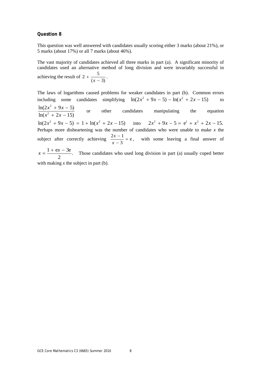This question was well answered with candidates usually scoring either 3 marks (about 21%), or 5 marks (about 17%) or all 7 marks (about 46%).

The vast majority of candidates achieved all three marks in part (a). A significant minority of candidates used an alternative method of long division and were invariably successful in achieving the result of  $2 + \frac{5}{\sqrt{2}}$  $+\frac{3}{(x-3)}$ .

The laws of logarithms caused problems for weaker candidates in part (b). Common errors including some candidates simplifying  $ln(2x^2 + 9x - 5) - ln(x^2 + 2x - 15)$  to 2 2  $ln(2x^2 + 9x - 5)$  $ln(x^2 + 2x - 15)$  $x^2 + 9x$  $x^2 + 2x$  $+ 9x + 2x$  or other candidates manipulating the equation  $ln(2x^2 + 9x - 5) = 1 + ln(x^2 + 2x - 15)$  *into*  $2x^2 + 9x - 5 = e^1 + x^2 + 2x - 15$ . Perhaps more disheartening was the number of candidates who were unable to make *x* the subject after correctly achieving  $\frac{2x-1}{2} = e$ 3 *x*  $\frac{2x-1}{x-3}$  = e, with some leaving a final answer of  $x = \frac{1 + \mathbf{e}x - 3\mathbf{e}}{2}$ . Those candidates who used long division in part (a) usually coped better with making *x* the subject in part (b).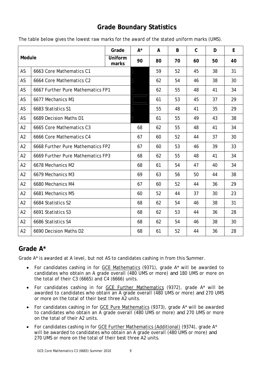## **Grade Boundary Statistics**

| Module         |                                   | Grade            | $A^*$ | A  | B  | $\mathsf{C}$ | D  | E  |
|----------------|-----------------------------------|------------------|-------|----|----|--------------|----|----|
|                |                                   | Uniform<br>marks | 90    | 80 | 70 | 60           | 50 | 40 |
| AS             | 6663 Core Mathematics C1          |                  |       | 59 | 52 | 45           | 38 | 31 |
| AS             | 6664 Core Mathematics C2          |                  |       | 62 | 54 | 46           | 38 | 30 |
| AS             | 6667 Further Pure Mathematics FP1 |                  |       | 62 | 55 | 48           | 41 | 34 |
| AS             | 6677 Mechanics M1                 |                  |       | 61 | 53 | 45           | 37 | 29 |
| AS             | 6683 Statistics S1                |                  |       | 55 | 48 | 41           | 35 | 29 |
| AS             | 6689 Decision Maths D1            |                  |       | 61 | 55 | 49           | 43 | 38 |
| A2             | 6665 Core Mathematics C3          |                  | 68    | 62 | 55 | 48           | 41 | 34 |
| A2             | 6666 Core Mathematics C4          |                  | 67    | 60 | 52 | 44           | 37 | 30 |
| A2             | 6668 Further Pure Mathematics FP2 |                  | 67    | 60 | 53 | 46           | 39 | 33 |
| A2             | 6669 Further Pure Mathematics FP3 |                  | 68    | 62 | 55 | 48           | 41 | 34 |
| A <sub>2</sub> | 6678 Mechanics M2                 |                  | 68    | 61 | 54 | 47           | 40 | 34 |
| A2             | 6679 Mechanics M3                 |                  | 69    | 63 | 56 | 50           | 44 | 38 |
| A2             | 6680 Mechanics M4                 |                  | 67    | 60 | 52 | 44           | 36 | 29 |
| A2             | 6681 Mechanics M5                 |                  | 60    | 52 | 44 | 37           | 30 | 23 |
| A2             | 6684 Statistics S2                |                  | 68    | 62 | 54 | 46           | 38 | 31 |
| A2             | 6691 Statistics S3                |                  | 68    | 62 | 53 | 44           | 36 | 28 |
| A2             | 6686 Statistics S4                |                  | 68    | 62 | 54 | 46           | 38 | 30 |
| A2             | 6690 Decision Maths D2            |                  | 68    | 61 | 52 | 44           | 36 | 28 |

The table below gives the lowest raw marks for the award of the stated uniform marks (UMS).

## **Grade A\***

Grade A\* is awarded at A level, but not AS to candidates cashing in from this Summer.

- For candidates cashing in for GCE Mathematics (9371), grade A\* will be awarded to candidates who obtain an A grade overall (480 UMS or more) *and* 180 UMS or more on the total of their C3 (6665) and C4 (6666) units.
- For candidates cashing in for GCE Further Mathematics (9372), grade A\* will be awarded to candidates who obtain an A grade overall (480 UMS or more) *and* 270 UMS or more on the total of their best three A2 units.
- For candidates cashing in for GCE Pure Mathematics (9373), grade A\* will be awarded to candidates who obtain an A grade overall (480 UMS or more) *and* 270 UMS or more on the total of their A2 units.
- For candidates cashing in for GCE Further Mathematics (Additional) (9374), grade A\* will be awarded to candidates who obtain an A grade overall (480 UMS or more) *and*  270 UMS or more on the total of their best three A2 units.